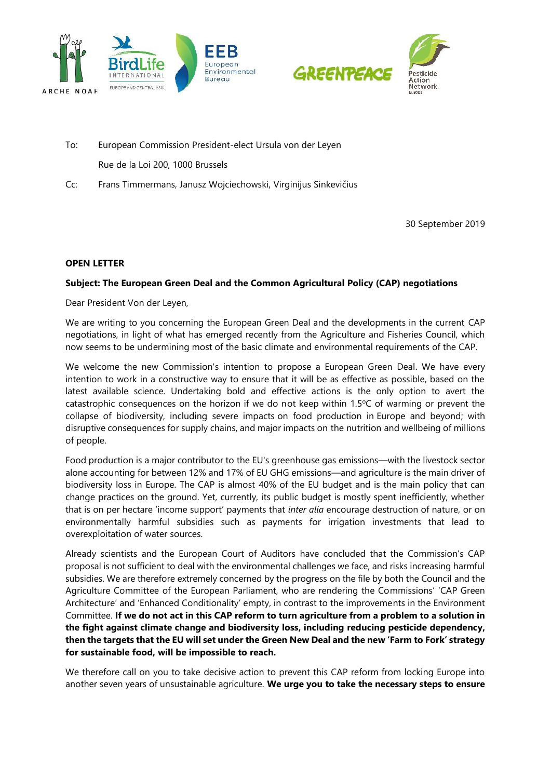



- To: European Commission President-elect Ursula von der Leyen Rue de la Loi 200, 1000 Brussels
- Cc: Frans Timmermans, Janusz Wojciechowski, Virginijus Sinkevičius

30 September 2019

## **OPEN LETTER**

## **Subject: The European Green Deal and the Common Agricultural Policy (CAP) negotiations**

Dear President Von der Leyen,

We are writing to you concerning the European Green Deal and the developments in the current CAP negotiations, in light of what has emerged recently from the Agriculture and Fisheries Council, which now seems to be undermining most of the basic climate and environmental requirements of the CAP.

We welcome the new Commission's intention to propose a European Green Deal. We have every intention to work in a constructive way to ensure that it will be as effective as possible, based on the latest available science. Undertaking bold and effective actions is the only option to avert the catastrophic consequences on the horizon if we do not keep within  $1.5^{\circ}$ C of warming or prevent the collapse of biodiversity, including severe impacts on food production in Europe and beyond; with disruptive consequences for supply chains, and major impacts on the nutrition and wellbeing of millions of people.

Food production is a major contributor to the EU's greenhouse gas emissions—with the livestock sector alone accounting for between 12% and 17% of EU GHG emissions—and agriculture is the main driver of biodiversity loss in Europe. The CAP is almost 40% of the EU budget and is the main policy that can change practices on the ground. Yet, currently, its public budget is mostly spent inefficiently, whether that is on per hectare 'income support' payments that *inter alia* encourage destruction of nature, or on environmentally harmful subsidies such as payments for irrigation investments that lead to overexploitation of water sources.

Already scientists and the European Court of Auditors have concluded that the Commission's CAP proposal is not sufficient to deal with the environmental challenges we face, and risks increasing harmful subsidies. We are therefore extremely concerned by the progress on the file by both the Council and the Agriculture Committee of the European Parliament, who are rendering the Commissions' 'CAP Green Architecture' and 'Enhanced Conditionality' empty, in contrast to the improvements in the Environment Committee. **If we do not act in this CAP reform to turn agriculture from a problem to a solution in the fight against climate change and biodiversity loss, including reducing pesticide dependency, then the targets that the EU will set under the Green New Deal and the new 'Farm to Fork' strategy for sustainable food, will be impossible to reach.**

We therefore call on you to take decisive action to prevent this CAP reform from locking Europe into another seven years of unsustainable agriculture. **We urge you to take the necessary steps to ensure**